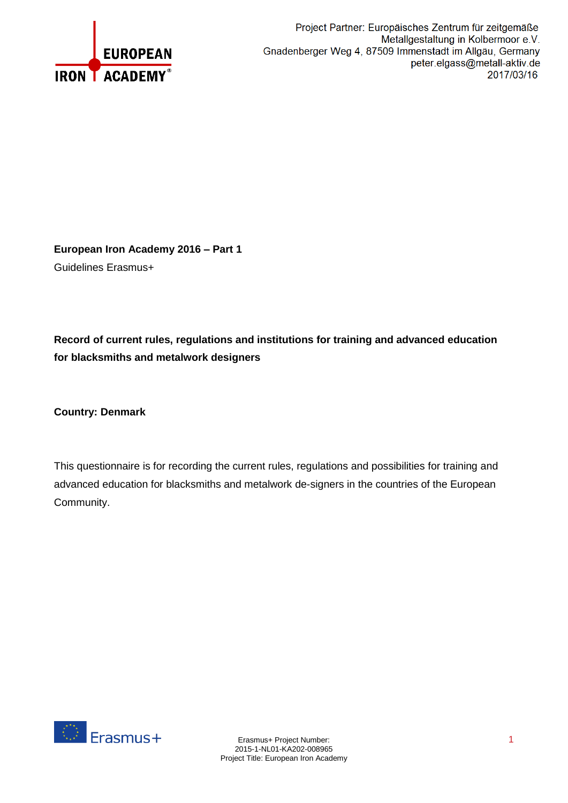

**European Iron Academy 2016 – Part 1** Guidelines Erasmus+

**Record of current rules, regulations and institutions for training and advanced education for blacksmiths and metalwork designers**

**Country: Denmark**

This questionnaire is for recording the current rules, regulations and possibilities for training and advanced education for blacksmiths and metalwork de-signers in the countries of the European Community.

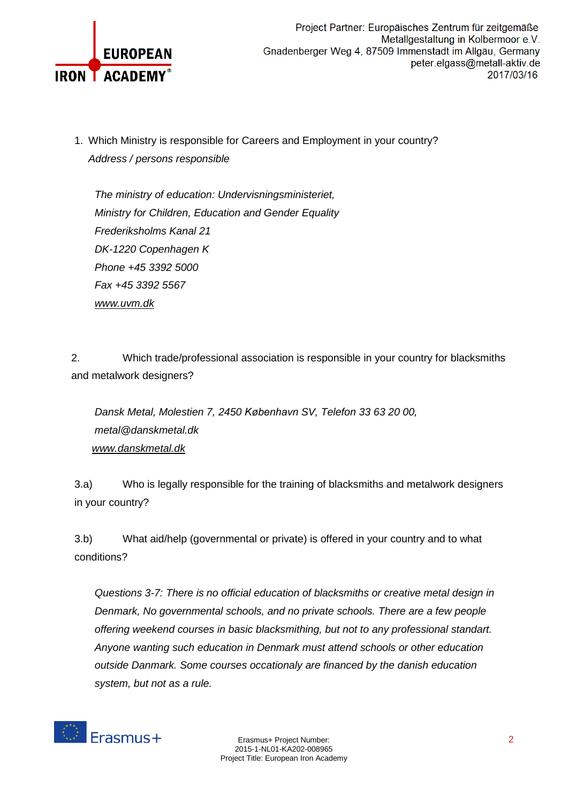

1. Which Ministry is responsible for Careers and Employment in your country? *Address / persons responsible* 

*The ministry of education: Undervisningsministeriet, Ministry for Children, Education and Gender Equality Frederiksholms Kanal 21 DK-1220 Copenhagen K Phone +45 3392 5000 Fax +45 3392 5567 [www.uvm.dk](http://www.uvm.dk/)*

2. Which trade/professional association is responsible in your country for blacksmiths and metalwork designers?

*Dansk Metal, Molestien 7, 2450 København SV, Telefon 33 63 20 00, metal@danskmetal.dk [www.danskmetal.dk](http://www.danskmetal.dk/)*

3.a) Who is legally responsible for the training of blacksmiths and metalwork designers in your country?

3.b) What aid/help (governmental or private) is offered in your country and to what conditions?

*Questions 3-7: There is no official education of blacksmiths or creative metal design in Denmark, No governmental schools, and no private schools. There are a few people offering weekend courses in basic blacksmithing, but not to any professional standart. Anyone wanting such education in Denmark must attend schools or other education outside Danmark. Some courses occationaly are financed by the danish education system, but not as a rule.*